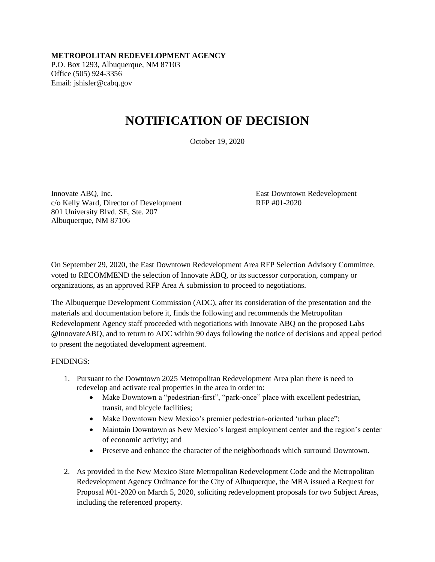**METROPOLITAN REDEVELOPMENT AGENCY** P.O. Box 1293, Albuquerque, NM 87103 Office (505) 924-3356 Email: jshisler@cabq.gov

## **NOTIFICATION OF DECISION**

October 19, 2020

Innovate ABQ, Inc. East Downtown Redevelopment c/o Kelly Ward, Director of Development RFP #01-2020 801 University Blvd. SE, Ste. 207 Albuquerque, NM 87106

On September 29, 2020, the East Downtown Redevelopment Area RFP Selection Advisory Committee, voted to RECOMMEND the selection of Innovate ABQ, or its successor corporation, company or organizations, as an approved RFP Area A submission to proceed to negotiations.

The Albuquerque Development Commission (ADC), after its consideration of the presentation and the materials and documentation before it, finds the following and recommends the Metropolitan Redevelopment Agency staff proceeded with negotiations with Innovate ABQ on the proposed Labs @InnovateABQ, and to return to ADC within 90 days following the notice of decisions and appeal period to present the negotiated development agreement.

## FINDINGS:

- 1. Pursuant to the Downtown 2025 Metropolitan Redevelopment Area plan there is need to redevelop and activate real properties in the area in order to:
	- Make Downtown a "pedestrian-first", "park-once" place with excellent pedestrian, transit, and bicycle facilities;
	- Make Downtown New Mexico's premier pedestrian-oriented 'urban place'';
	- Maintain Downtown as New Mexico's largest employment center and the region's center of economic activity; and
	- Preserve and enhance the character of the neighborhoods which surround Downtown.
- 2. As provided in the New Mexico State Metropolitan Redevelopment Code and the Metropolitan Redevelopment Agency Ordinance for the City of Albuquerque, the MRA issued a Request for Proposal #01-2020 on March 5, 2020, soliciting redevelopment proposals for two Subject Areas, including the referenced property.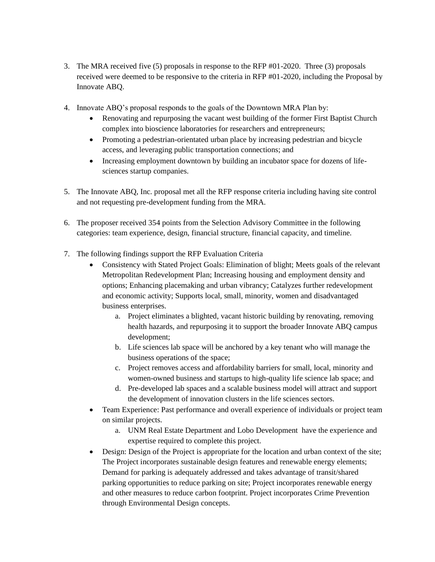- 3. The MRA received five (5) proposals in response to the RFP #01-2020. Three (3) proposals received were deemed to be responsive to the criteria in RFP #01-2020, including the Proposal by Innovate ABQ.
- 4. Innovate ABQ's proposal responds to the goals of the Downtown MRA Plan by:
	- Renovating and repurposing the vacant west building of the former First Baptist Church complex into bioscience laboratories for researchers and entrepreneurs;
	- Promoting a pedestrian-orientated urban place by increasing pedestrian and bicycle access, and leveraging public transportation connections; and
	- Increasing employment downtown by building an incubator space for dozens of lifesciences startup companies.
- 5. The Innovate ABQ, Inc. proposal met all the RFP response criteria including having site control and not requesting pre-development funding from the MRA.
- 6. The proposer received 354 points from the Selection Advisory Committee in the following categories: team experience, design, financial structure, financial capacity, and timeline.
- 7. The following findings support the RFP Evaluation Criteria
	- Consistency with Stated Project Goals: Elimination of blight; Meets goals of the relevant Metropolitan Redevelopment Plan; Increasing housing and employment density and options; Enhancing placemaking and urban vibrancy; Catalyzes further redevelopment and economic activity; Supports local, small, minority, women and disadvantaged business enterprises.
		- a. Project eliminates a blighted, vacant historic building by renovating, removing health hazards, and repurposing it to support the broader Innovate ABQ campus development;
		- b. Life sciences lab space will be anchored by a key tenant who will manage the business operations of the space;
		- c. Project removes access and affordability barriers for small, local, minority and women-owned business and startups to high-quality life science lab space; and
		- d. Pre-developed lab spaces and a scalable business model will attract and support the development of innovation clusters in the life sciences sectors.
	- Team Experience: Past performance and overall experience of individuals or project team on similar projects.
		- a. UNM Real Estate Department and Lobo Development have the experience and expertise required to complete this project.
	- Design: Design of the Project is appropriate for the location and urban context of the site; The Project incorporates sustainable design features and renewable energy elements; Demand for parking is adequately addressed and takes advantage of transit/shared parking opportunities to reduce parking on site; Project incorporates renewable energy and other measures to reduce carbon footprint. Project incorporates Crime Prevention through Environmental Design concepts.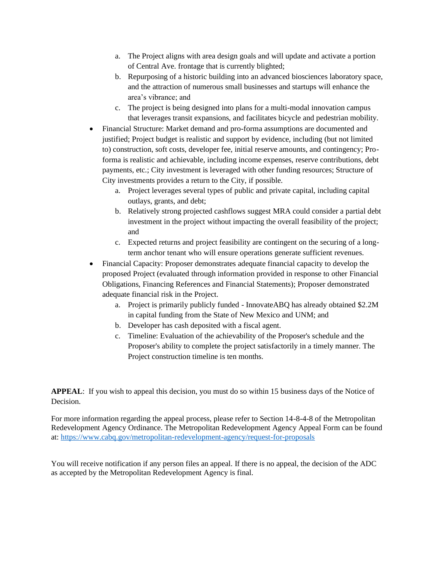- a. The Project aligns with area design goals and will update and activate a portion of Central Ave. frontage that is currently blighted;
- b. Repurposing of a historic building into an advanced biosciences laboratory space, and the attraction of numerous small businesses and startups will enhance the area's vibrance; and
- c. The project is being designed into plans for a multi-modal innovation campus that leverages transit expansions, and facilitates bicycle and pedestrian mobility.
- Financial Structure: Market demand and pro-forma assumptions are documented and justified; Project budget is realistic and support by evidence, including (but not limited to) construction, soft costs, developer fee, initial reserve amounts, and contingency; Proforma is realistic and achievable, including income expenses, reserve contributions, debt payments, etc.; City investment is leveraged with other funding resources; Structure of City investments provides a return to the City, if possible.
	- a. Project leverages several types of public and private capital, including capital outlays, grants, and debt;
	- b. Relatively strong projected cashflows suggest MRA could consider a partial debt investment in the project without impacting the overall feasibility of the project; and
	- c. Expected returns and project feasibility are contingent on the securing of a longterm anchor tenant who will ensure operations generate sufficient revenues.
- Financial Capacity: Proposer demonstrates adequate financial capacity to develop the proposed Project (evaluated through information provided in response to other Financial Obligations, Financing References and Financial Statements); Proposer demonstrated adequate financial risk in the Project.
	- a. Project is primarily publicly funded InnovateABQ has already obtained \$2.2M in capital funding from the State of New Mexico and UNM; and
	- b. Developer has cash deposited with a fiscal agent.
	- c. Timeline: Evaluation of the achievability of the Proposer's schedule and the Proposer's ability to complete the project satisfactorily in a timely manner. The Project construction timeline is ten months.

**APPEAL**: If you wish to appeal this decision, you must do so within 15 business days of the Notice of **Decision** 

For more information regarding the appeal process, please refer to Section 14-8-4-8 of the Metropolitan Redevelopment Agency Ordinance. The Metropolitan Redevelopment Agency Appeal Form can be found at: <https://www.cabq.gov/metropolitan-redevelopment-agency/request-for-proposals>

You will receive notification if any person files an appeal. If there is no appeal, the decision of the ADC as accepted by the Metropolitan Redevelopment Agency is final.